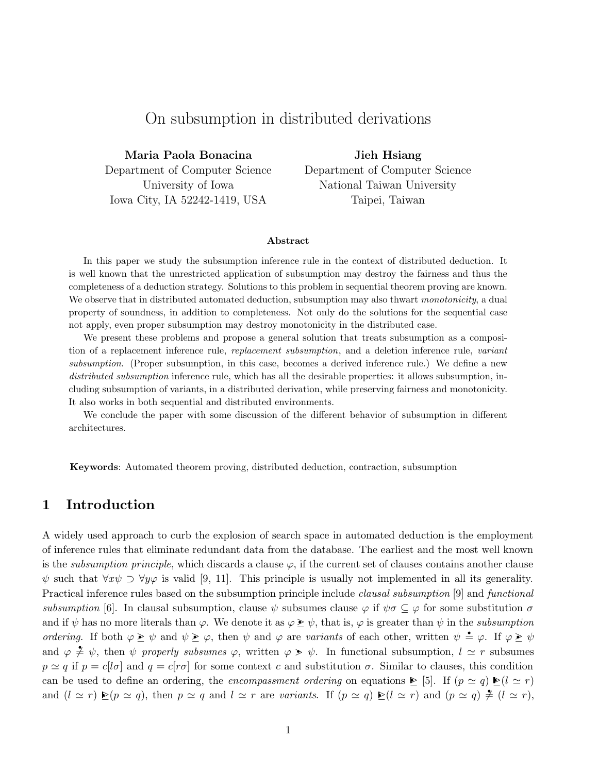# On subsumption in distributed derivations

Maria Paola Bonacina Department of Computer Science University of Iowa Iowa City, IA 52242-1419, USA

Jieh Hsiang Department of Computer Science National Taiwan University Taipei, Taiwan

### Abstract

In this paper we study the subsumption inference rule in the context of distributed deduction. It is well known that the unrestricted application of subsumption may destroy the fairness and thus the completeness of a deduction strategy. Solutions to this problem in sequential theorem proving are known. We observe that in distributed automated deduction, subsumption may also thwart monotonicity, a dual property of soundness, in addition to completeness. Not only do the solutions for the sequential case not apply, even proper subsumption may destroy monotonicity in the distributed case.

We present these problems and propose a general solution that treats subsumption as a composition of a replacement inference rule, replacement subsumption, and a deletion inference rule, variant subsumption. (Proper subsumption, in this case, becomes a derived inference rule.) We define a new distributed subsumption inference rule, which has all the desirable properties: it allows subsumption, including subsumption of variants, in a distributed derivation, while preserving fairness and monotonicity. It also works in both sequential and distributed environments.

We conclude the paper with some discussion of the different behavior of subsumption in different architectures.

Keywords: Automated theorem proving, distributed deduction, contraction, subsumption

## 1 Introduction

A widely used approach to curb the explosion of search space in automated deduction is the employment of inference rules that eliminate redundant data from the database. The earliest and the most well known is the *subsumption principle*, which discards a clause  $\varphi$ , if the current set of clauses contains another clause  $\psi$  such that  $\forall x \psi \supset \forall y \varphi$  is valid [9, 11]. This principle is usually not implemented in all its generality. Practical inference rules based on the subsumption principle include *clausal subsumption* [9] and *functional* subsumption [6]. In clausal subsumption, clause  $\psi$  subsumes clause  $\varphi$  if  $\psi\sigma \subseteq \varphi$  for some substitution  $\sigma$ and if  $\psi$  has no more literals than  $\varphi$ . We denote it as  $\varphi \geq \psi$ , that is,  $\varphi$  is greater than  $\psi$  in the subsumption ordering. If both  $\varphi \geq \psi$  and  $\psi \geq \varphi$ , then  $\psi$  and  $\varphi$  are variants of each other, written  $\psi = \varphi$ . If  $\varphi \geq \psi$ and  $\varphi \neq \psi$ , then  $\psi$  properly subsumes  $\varphi$ , written  $\varphi \geq \psi$ . In functional subsumption,  $l \simeq r$  subsumes  $p \simeq q$  if  $p = c[l\sigma]$  and  $q = c[r\sigma]$  for some context c and substitution  $\sigma$ . Similar to clauses, this condition can be used to define an ordering, the *encompassment ordering* on equations  $\triangleright$  [5]. If  $(p \simeq q) \triangleright (l \simeq r)$ and  $(l \simeq r) \trianglelefteq (p \simeq q)$ , then  $p \simeq q$  and  $l \simeq r$  are variants. If  $(p \simeq q) \trianglelefteq (l \simeq r)$  and  $(p \simeq q) \trianglelefteq (l \simeq r)$ ,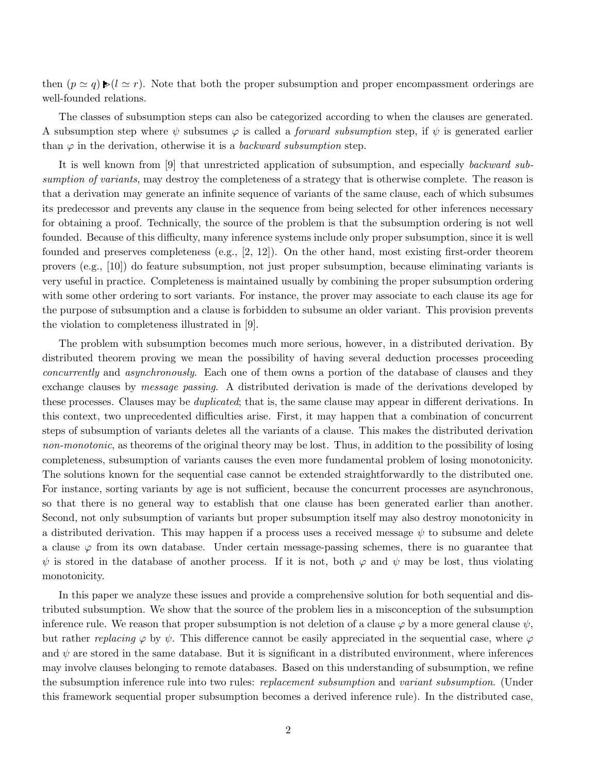then  $(p \simeq q) \blacktriangleright (l \simeq r)$ . Note that both the proper subsumption and proper encompassment orderings are well-founded relations.

The classes of subsumption steps can also be categorized according to when the clauses are generated. A subsumption step where  $\psi$  subsumes  $\varphi$  is called a *forward subsumption* step, if  $\psi$  is generated earlier than  $\varphi$  in the derivation, otherwise it is a *backward subsumption* step.

It is well known from [9] that unrestricted application of subsumption, and especially backward subsumption of variants, may destroy the completeness of a strategy that is otherwise complete. The reason is that a derivation may generate an infinite sequence of variants of the same clause, each of which subsumes its predecessor and prevents any clause in the sequence from being selected for other inferences necessary for obtaining a proof. Technically, the source of the problem is that the subsumption ordering is not well founded. Because of this difficulty, many inference systems include only proper subsumption, since it is well founded and preserves completeness (e.g., [2, 12]). On the other hand, most existing first-order theorem provers (e.g., [10]) do feature subsumption, not just proper subsumption, because eliminating variants is very useful in practice. Completeness is maintained usually by combining the proper subsumption ordering with some other ordering to sort variants. For instance, the prover may associate to each clause its age for the purpose of subsumption and a clause is forbidden to subsume an older variant. This provision prevents the violation to completeness illustrated in [9].

The problem with subsumption becomes much more serious, however, in a distributed derivation. By distributed theorem proving we mean the possibility of having several deduction processes proceeding concurrently and asynchronously. Each one of them owns a portion of the database of clauses and they exchange clauses by message passing. A distributed derivation is made of the derivations developed by these processes. Clauses may be *duplicated*; that is, the same clause may appear in different derivations. In this context, two unprecedented difficulties arise. First, it may happen that a combination of concurrent steps of subsumption of variants deletes all the variants of a clause. This makes the distributed derivation non-monotonic, as theorems of the original theory may be lost. Thus, in addition to the possibility of losing completeness, subsumption of variants causes the even more fundamental problem of losing monotonicity. The solutions known for the sequential case cannot be extended straightforwardly to the distributed one. For instance, sorting variants by age is not sufficient, because the concurrent processes are asynchronous, so that there is no general way to establish that one clause has been generated earlier than another. Second, not only subsumption of variants but proper subsumption itself may also destroy monotonicity in a distributed derivation. This may happen if a process uses a received message  $\psi$  to subsume and delete a clause  $\varphi$  from its own database. Under certain message-passing schemes, there is no guarantee that  $\psi$  is stored in the database of another process. If it is not, both  $\varphi$  and  $\psi$  may be lost, thus violating monotonicity.

In this paper we analyze these issues and provide a comprehensive solution for both sequential and distributed subsumption. We show that the source of the problem lies in a misconception of the subsumption inference rule. We reason that proper subsumption is not deletion of a clause  $\varphi$  by a more general clause  $\psi$ , but rather replacing  $\varphi$  by  $\psi$ . This difference cannot be easily appreciated in the sequential case, where  $\varphi$ and  $\psi$  are stored in the same database. But it is significant in a distributed environment, where inferences may involve clauses belonging to remote databases. Based on this understanding of subsumption, we refine the subsumption inference rule into two rules: *replacement subsumption* and *variant subsumption*. (Under this framework sequential proper subsumption becomes a derived inference rule). In the distributed case,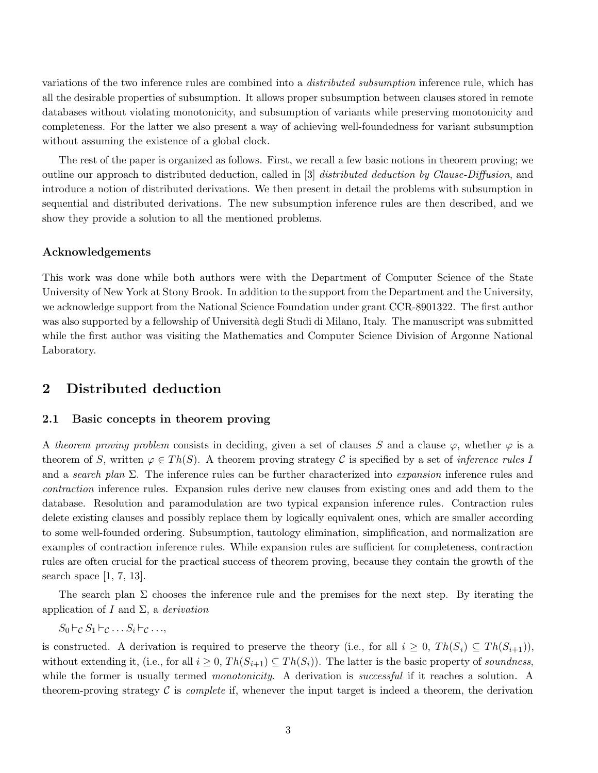variations of the two inference rules are combined into a distributed subsumption inference rule, which has all the desirable properties of subsumption. It allows proper subsumption between clauses stored in remote databases without violating monotonicity, and subsumption of variants while preserving monotonicity and completeness. For the latter we also present a way of achieving well-foundedness for variant subsumption without assuming the existence of a global clock.

The rest of the paper is organized as follows. First, we recall a few basic notions in theorem proving; we outline our approach to distributed deduction, called in [3] distributed deduction by Clause-Diffusion, and introduce a notion of distributed derivations. We then present in detail the problems with subsumption in sequential and distributed derivations. The new subsumption inference rules are then described, and we show they provide a solution to all the mentioned problems.

## Acknowledgements

This work was done while both authors were with the Department of Computer Science of the State University of New York at Stony Brook. In addition to the support from the Department and the University, we acknowledge support from the National Science Foundation under grant CCR-8901322. The first author was also supported by a fellowship of Università degli Studi di Milano, Italy. The manuscript was submitted while the first author was visiting the Mathematics and Computer Science Division of Argonne National Laboratory.

## 2 Distributed deduction

## 2.1 Basic concepts in theorem proving

A theorem proving problem consists in deciding, given a set of clauses S and a clause  $\varphi$ , whether  $\varphi$  is a theorem of S, written  $\varphi \in Th(S)$ . A theorem proving strategy C is specified by a set of *inference rules* I and a search plan  $\Sigma$ . The inference rules can be further characterized into *expansion* inference rules and contraction inference rules. Expansion rules derive new clauses from existing ones and add them to the database. Resolution and paramodulation are two typical expansion inference rules. Contraction rules delete existing clauses and possibly replace them by logically equivalent ones, which are smaller according to some well-founded ordering. Subsumption, tautology elimination, simplification, and normalization are examples of contraction inference rules. While expansion rules are sufficient for completeness, contraction rules are often crucial for the practical success of theorem proving, because they contain the growth of the search space  $[1, 7, 13]$ .

The search plan  $\Sigma$  chooses the inference rule and the premises for the next step. By iterating the application of I and  $\Sigma$ , a *derivation* 

 $S_0 \vdash_{\mathcal{C}} S_1 \vdash_{\mathcal{C}} \ldots S_i \vdash_{\mathcal{C}} \ldots$ 

is constructed. A derivation is required to preserve the theory (i.e., for all  $i \geq 0$ ,  $Th(S_i) \subseteq Th(S_{i+1})$ ), without extending it, (i.e., for all  $i \geq 0$ ,  $Th(S_{i+1}) \subseteq Th(S_i)$ ). The latter is the basic property of soundness, while the former is usually termed *monotonicity*. A derivation is *successful* if it reaches a solution. A theorem-proving strategy  $\mathcal C$  is *complete* if, whenever the input target is indeed a theorem, the derivation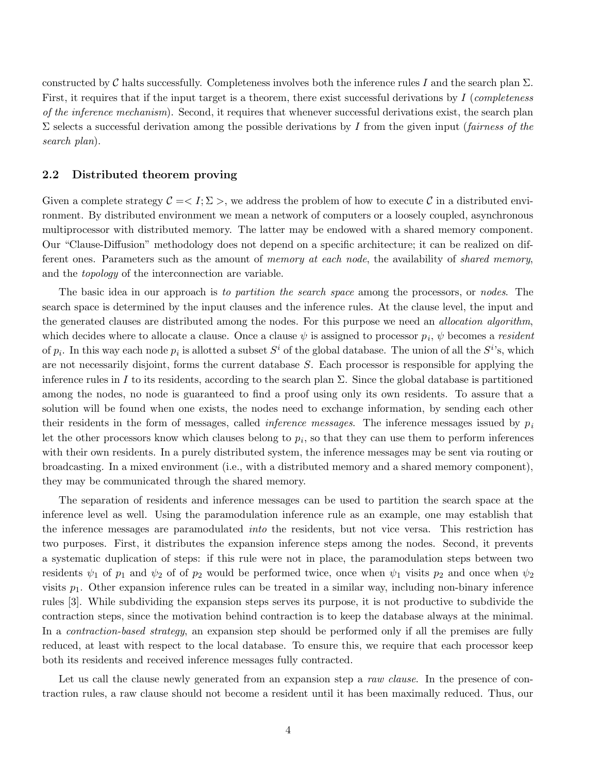constructed by C halts successfully. Completeness involves both the inference rules I and the search plan  $\Sigma$ . First, it requires that if the input target is a theorem, there exist successful derivations by I (completeness of the inference mechanism). Second, it requires that whenever successful derivations exist, the search plan  $\Sigma$  selects a successful derivation among the possible derivations by I from the given input (fairness of the search plan).

#### 2.2 Distributed theorem proving

Given a complete strategy  $\mathcal{C} = \langle I; \Sigma \rangle$ , we address the problem of how to execute C in a distributed environment. By distributed environment we mean a network of computers or a loosely coupled, asynchronous multiprocessor with distributed memory. The latter may be endowed with a shared memory component. Our "Clause-Diffusion" methodology does not depend on a specific architecture; it can be realized on different ones. Parameters such as the amount of memory at each node, the availability of shared memory, and the topology of the interconnection are variable.

The basic idea in our approach is to partition the search space among the processors, or nodes. The search space is determined by the input clauses and the inference rules. At the clause level, the input and the generated clauses are distributed among the nodes. For this purpose we need an *allocation algorithm*, which decides where to allocate a clause. Once a clause  $\psi$  is assigned to processor  $p_i$ ,  $\psi$  becomes a *resident* of  $p_i$ . In this way each node  $p_i$  is allotted a subset  $S^i$  of the global database. The union of all the  $S^i$ 's, which are not necessarily disjoint, forms the current database S. Each processor is responsible for applying the inference rules in I to its residents, according to the search plan  $\Sigma$ . Since the global database is partitioned among the nodes, no node is guaranteed to find a proof using only its own residents. To assure that a solution will be found when one exists, the nodes need to exchange information, by sending each other their residents in the form of messages, called *inference messages*. The inference messages issued by  $p_i$ Let the other processors know which clauses belong to  $p_i$ , so that they can use them to perform inferences with their own residents. In a purely distributed system, the inference messages may be sent via routing or broadcasting. In a mixed environment (i.e., with a distributed memory and a shared memory component), they may be communicated through the shared memory.

The separation of residents and inference messages can be used to partition the search space at the inference level as well. Using the paramodulation inference rule as an example, one may establish that the inference messages are paramodulated into the residents, but not vice versa. This restriction has two purposes. First, it distributes the expansion inference steps among the nodes. Second, it prevents a systematic duplication of steps: if this rule were not in place, the paramodulation steps between two residents  $\psi_1$  of  $p_1$  and  $\psi_2$  of of  $p_2$  would be performed twice, once when  $\psi_1$  visits  $p_2$  and once when  $\psi_2$ visits  $p_1$ . Other expansion inference rules can be treated in a similar way, including non-binary inference rules [3]. While subdividing the expansion steps serves its purpose, it is not productive to subdivide the contraction steps, since the motivation behind contraction is to keep the database always at the minimal. In a *contraction-based strategy*, an expansion step should be performed only if all the premises are fully reduced, at least with respect to the local database. To ensure this, we require that each processor keep both its residents and received inference messages fully contracted.

Let us call the clause newly generated from an expansion step a raw clause. In the presence of contraction rules, a raw clause should not become a resident until it has been maximally reduced. Thus, our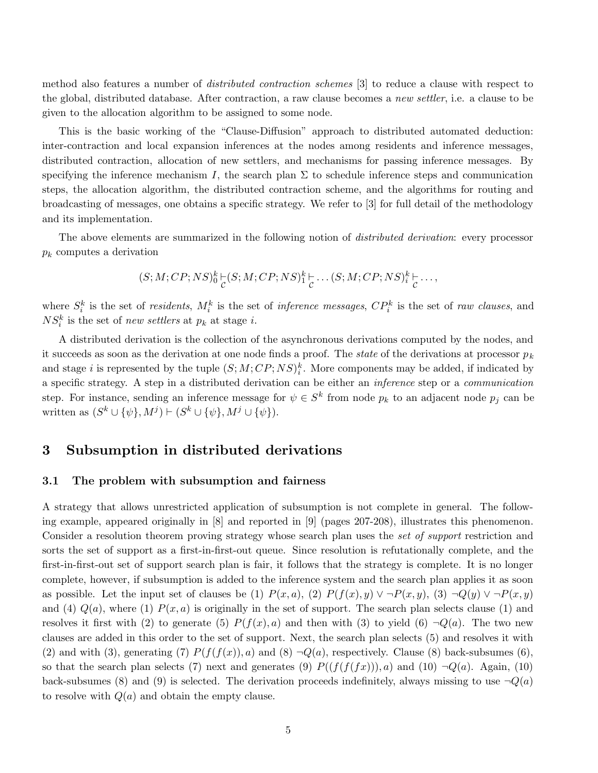method also features a number of distributed contraction schemes [3] to reduce a clause with respect to the global, distributed database. After contraction, a raw clause becomes a new settler, i.e. a clause to be given to the allocation algorithm to be assigned to some node.

This is the basic working of the "Clause-Diffusion" approach to distributed automated deduction: inter-contraction and local expansion inferences at the nodes among residents and inference messages, distributed contraction, allocation of new settlers, and mechanisms for passing inference messages. By specifying the inference mechanism I, the search plan  $\Sigma$  to schedule inference steps and communication steps, the allocation algorithm, the distributed contraction scheme, and the algorithms for routing and broadcasting of messages, one obtains a specific strategy. We refer to [3] for full detail of the methodology and its implementation.

The above elements are summarized in the following notion of distributed derivation: every processor  $p_k$  computes a derivation

$$
(S;M;CP;NS)^k_0\underset{C}{\vdash}(S;M;CP;NS)^k_1\underset{C}{\vdash}\dots(S;M;CP;NS)^k_t\underset{C}{\vdash}\dots,
$$

where  $S_i^k$  is the set of *residents*,  $M_i^k$  is the set of *inference messages*,  $CP_i^k$  is the set of *raw clauses*, and  $NS_i^k$  is the set of new settlers at  $p_k$  at stage i.

A distributed derivation is the collection of the asynchronous derivations computed by the nodes, and it succeeds as soon as the derivation at one node finds a proof. The *state* of the derivations at processor  $p_k$ and stage i is represented by the tuple  $(S; M; CP; NS)^k_i$ . More components may be added, if indicated by a specific strategy. A step in a distributed derivation can be either an inference step or a communication step. For instance, sending an inference message for  $\psi \in S^k$  from node  $p_k$  to an adjacent node  $p_j$  can be written as  $(S^k \cup {\psi}, M^j) \vdash (S^k \cup {\psi}, M^j \cup {\psi}).$ 

## 3 Subsumption in distributed derivations

#### 3.1 The problem with subsumption and fairness

A strategy that allows unrestricted application of subsumption is not complete in general. The following example, appeared originally in [8] and reported in [9] (pages 207-208), illustrates this phenomenon. Consider a resolution theorem proving strategy whose search plan uses the set of support restriction and sorts the set of support as a first-in-first-out queue. Since resolution is refutationally complete, and the first-in-first-out set of support search plan is fair, it follows that the strategy is complete. It is no longer complete, however, if subsumption is added to the inference system and the search plan applies it as soon as possible. Let the input set of clauses be (1)  $P(x, a)$ , (2)  $P(f(x), y) \vee \neg P(x, y)$ , (3)  $\neg Q(y) \vee \neg P(x, y)$ and (4)  $Q(a)$ , where (1)  $P(x, a)$  is originally in the set of support. The search plan selects clause (1) and resolves it first with (2) to generate (5)  $P(f(x), a)$  and then with (3) to yield (6)  $\neg Q(a)$ . The two new clauses are added in this order to the set of support. Next, the search plan selects (5) and resolves it with (2) and with (3), generating (7)  $P(f(f(x)), a)$  and (8)  $\neg Q(a)$ , respectively. Clause (8) back-subsumes (6), so that the search plan selects (7) next and generates (9)  $P((f(f(f(x))), a)$  and (10)  $\neg Q(a)$ . Again, (10) back-subsumes (8) and (9) is selected. The derivation proceeds indefinitely, always missing to use  $\neg Q(a)$ to resolve with  $Q(a)$  and obtain the empty clause.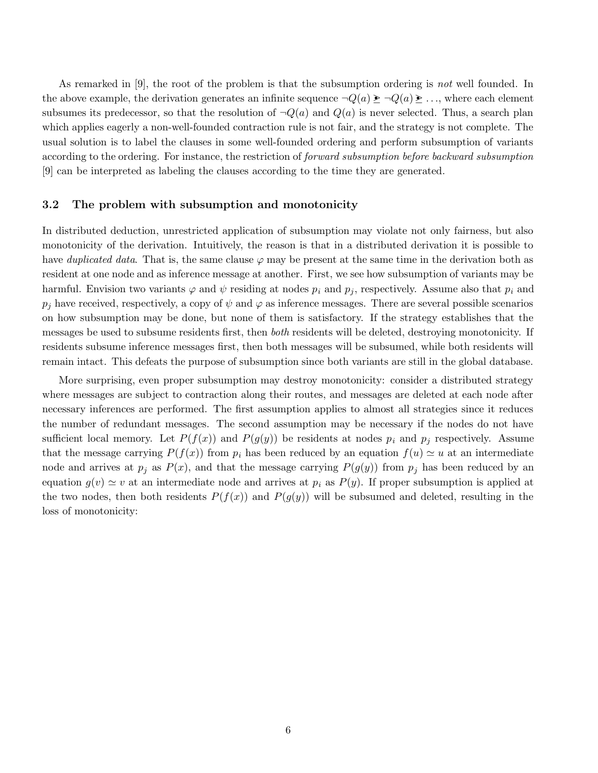As remarked in [9], the root of the problem is that the subsumption ordering is not well founded. In the above example, the derivation generates an infinite sequence  $\neg Q(a) \geq \neg Q(a) \geq \dots$ , where each element subsumes its predecessor, so that the resolution of  $\neg Q(a)$  and  $Q(a)$  is never selected. Thus, a search plan which applies eagerly a non-well-founded contraction rule is not fair, and the strategy is not complete. The usual solution is to label the clauses in some well-founded ordering and perform subsumption of variants according to the ordering. For instance, the restriction of forward subsumption before backward subsumption [9] can be interpreted as labeling the clauses according to the time they are generated.

### 3.2 The problem with subsumption and monotonicity

In distributed deduction, unrestricted application of subsumption may violate not only fairness, but also monotonicity of the derivation. Intuitively, the reason is that in a distributed derivation it is possible to have duplicated data. That is, the same clause  $\varphi$  may be present at the same time in the derivation both as resident at one node and as inference message at another. First, we see how subsumption of variants may be harmful. Envision two variants  $\varphi$  and  $\psi$  residing at nodes  $p_i$  and  $p_j$ , respectively. Assume also that  $p_i$  and  $p_j$  have received, respectively, a copy of  $\psi$  and  $\varphi$  as inference messages. There are several possible scenarios on how subsumption may be done, but none of them is satisfactory. If the strategy establishes that the messages be used to subsume residents first, then both residents will be deleted, destroying monotonicity. If residents subsume inference messages first, then both messages will be subsumed, while both residents will remain intact. This defeats the purpose of subsumption since both variants are still in the global database.

More surprising, even proper subsumption may destroy monotonicity: consider a distributed strategy where messages are subject to contraction along their routes, and messages are deleted at each node after necessary inferences are performed. The first assumption applies to almost all strategies since it reduces the number of redundant messages. The second assumption may be necessary if the nodes do not have sufficient local memory. Let  $P(f(x))$  and  $P(g(y))$  be residents at nodes  $p_i$  and  $p_j$  respectively. Assume that the message carrying  $P(f(x))$  from  $p_i$  has been reduced by an equation  $f(u) \simeq u$  at an intermediate node and arrives at  $p_j$  as  $P(x)$ , and that the message carrying  $P(g(y))$  from  $p_j$  has been reduced by an equation  $g(v) \simeq v$  at an intermediate node and arrives at  $p_i$  as  $P(y)$ . If proper subsumption is applied at the two nodes, then both residents  $P(f(x))$  and  $P(g(y))$  will be subsumed and deleted, resulting in the loss of monotonicity: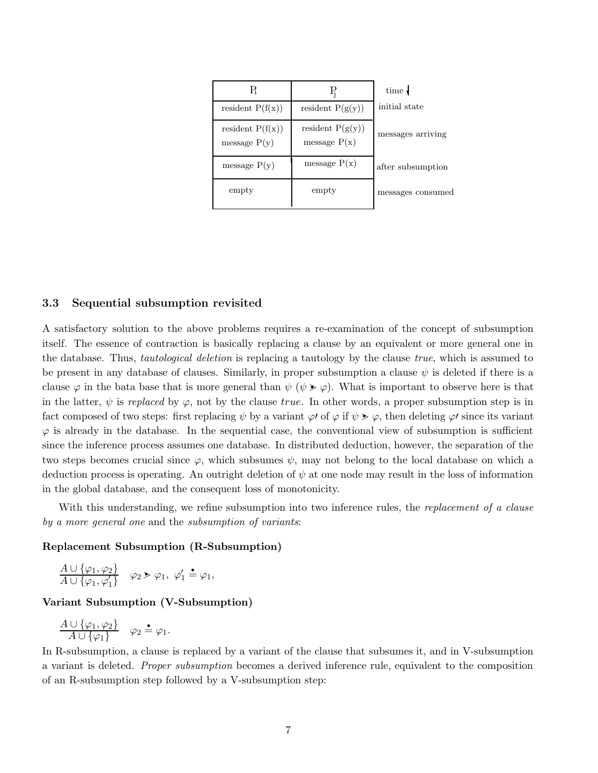| В                                    | F.                                   | time $\downarrow$ |
|--------------------------------------|--------------------------------------|-------------------|
| resident $P(f(x))$                   | resident $P(g(y))$                   | initial state     |
| resident $P(f(x))$<br>message $P(y)$ | resident $P(g(y))$<br>message $P(x)$ | messages arriving |
| message $P(y)$                       | message $P(x)$                       | after subsumption |
| empty                                | empty                                | messages consumed |

## 3.3 Sequential subsumption revisited

A satisfactory solution to the above problems requires a re-examination of the concept of subsumption itself. The essence of contraction is basically replacing a clause by an equivalent or more general one in the database. Thus, *tautological deletion* is replacing a tautology by the clause *true*, which is assumed to be present in any database of clauses. Similarly, in proper subsumption a clause  $\psi$  is deleted if there is a clause  $\varphi$  in the bata base that is more general than  $\psi$  ( $\psi > \varphi$ ). What is important to observe here is that in the latter,  $\psi$  is replaced by  $\varphi$ , not by the clause true. In other words, a proper subsumption step is in fact composed of two steps: first replacing  $\psi$  by a variant  $\varphi$  of  $\varphi$  if  $\psi > \varphi$ , then deleting  $\varphi$  since its variant  $\varphi$  is already in the database. In the sequential case, the conventional view of subsumption is sufficient since the inference process assumes one database. In distributed deduction, however, the separation of the two steps becomes crucial since  $\varphi$ , which subsumes  $\psi$ , may not belong to the local database on which a deduction process is operating. An outright deletion of  $\psi$  at one node may result in the loss of information in the global database, and the consequent loss of monotonicity.

With this understanding, we refine subsumption into two inference rules, the replacement of a clause by a more general one and the subsumption of variants:

## Replacement Subsumption (R-Subsumption)

$$
\frac{A \cup \{\varphi_1, \varphi_2\}}{A \cup \{\varphi_1, \varphi_1'\}} \quad \varphi_2 > \varphi_1, \ \varphi_1' \stackrel{\bullet}{=} \varphi_1,
$$

### Variant Subsumption (V-Subsumption)

$$
\frac{A \cup \{\varphi_1, \varphi_2\}}{A \cup \{\varphi_1\}} \quad \varphi_2 \triangleq \varphi_1.
$$

In R-subsumption, a clause is replaced by a variant of the clause that subsumes it, and in V-subsumption a variant is deleted. Proper subsumption becomes a derived inference rule, equivalent to the composition of an R-subsumption step followed by a V-subsumption step: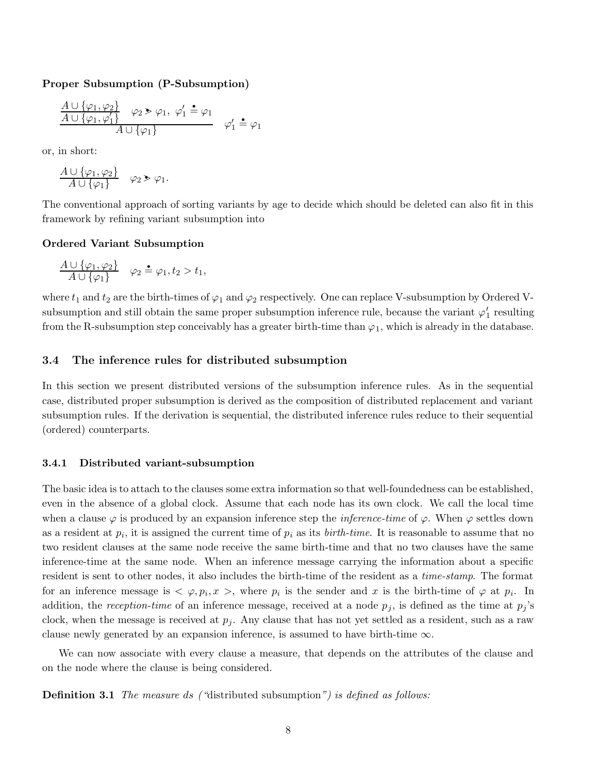Proper Subsumption (P-Subsumption)

$$
\frac{A \cup \{\varphi_1, \varphi_2\}}{A \cup \{\varphi_1, \varphi_1'\}} \varphi_2 \ge \varphi_1, \varphi_1' \stackrel{\bullet}{=} \varphi_1
$$
  

$$
A \cup \{\varphi_1\}
$$
  

$$
\varphi_1' \stackrel{\bullet}{=} \varphi_1
$$

or, in short:

$$
\frac{A \cup \{\varphi_1, \varphi_2\}}{A \cup \{\varphi_1\}} \quad \varphi_2 \ge \varphi_1.
$$

The conventional approach of sorting variants by age to decide which should be deleted can also fit in this framework by refining variant subsumption into

### Ordered Variant Subsumption

$$
\frac{A \cup \{\varphi_1, \varphi_2\}}{A \cup \{\varphi_1\}} \quad \varphi_2 \triangleq \varphi_1, t_2 > t_1,
$$

where  $t_1$  and  $t_2$  are the birth-times of  $\varphi_1$  and  $\varphi_2$  respectively. One can replace V-subsumption by Ordered Vsubsumption and still obtain the same proper subsumption inference rule, because the variant  $\varphi_1'$  $_1'$  resulting from the R-subsumption step conceivably has a greater birth-time than  $\varphi_1$ , which is already in the database.

## 3.4 The inference rules for distributed subsumption

In this section we present distributed versions of the subsumption inference rules. As in the sequential case, distributed proper subsumption is derived as the composition of distributed replacement and variant subsumption rules. If the derivation is sequential, the distributed inference rules reduce to their sequential (ordered) counterparts.

#### 3.4.1 Distributed variant-subsumption

The basic idea is to attach to the clauses some extra information so that well-foundedness can be established, even in the absence of a global clock. Assume that each node has its own clock. We call the local time when a clause  $\varphi$  is produced by an expansion inference step the *inference-time* of  $\varphi$ . When  $\varphi$  settles down as a resident at  $p_i$ , it is assigned the current time of  $p_i$  as its *birth-time*. It is reasonable to assume that no two resident clauses at the same node receive the same birth-time and that no two clauses have the same inference-time at the same node. When an inference message carrying the information about a specific resident is sent to other nodes, it also includes the birth-time of the resident as a time-stamp. The format for an inference message is  $\langle \varphi, p_i, x \rangle$ , where  $p_i$  is the sender and x is the birth-time of  $\varphi$  at  $p_i$ . In addition, the reception-time of an inference message, received at a node  $p_j$ , is defined as the time at  $p_j$ 's clock, when the message is received at  $p_j$ . Any clause that has not yet settled as a resident, such as a raw clause newly generated by an expansion inference, is assumed to have birth-time  $\infty$ .

We can now associate with every clause a measure, that depends on the attributes of the clause and on the node where the clause is being considered.

**Definition 3.1** The measure ds ("distributed subsumption") is defined as follows: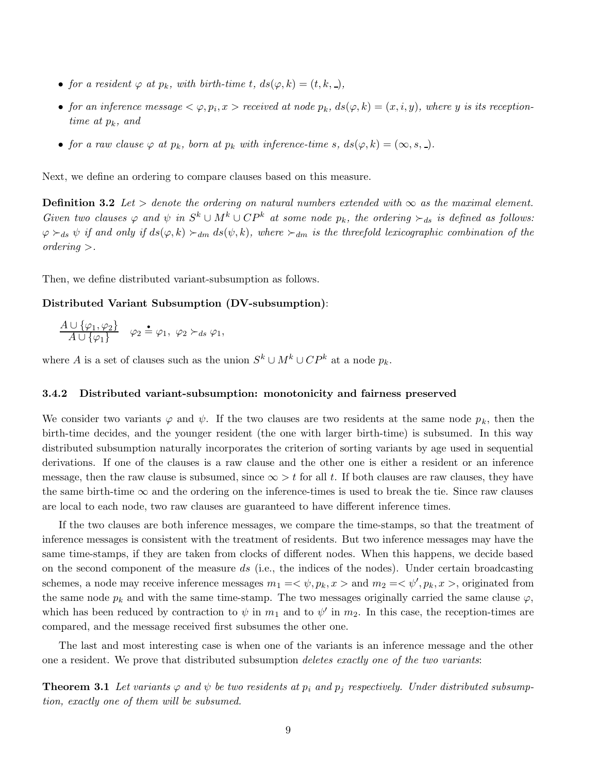- for a resident  $\varphi$  at  $p_k$ , with birth-time t,  $ds(\varphi, k) = (t, k, \square)$ ,
- for an inference message  $\langle \varphi, p_i, x \rangle$  received at node  $p_k$ ,  $ds(\varphi, k) = (x, i, y)$ , where y is its receptiontime at  $p_k$ , and
- for a raw clause  $\varphi$  at  $p_k$ , born at  $p_k$  with inference-time s,  $ds(\varphi, k) = (\infty, s, \square)$ .

Next, we define an ordering to compare clauses based on this measure.

**Definition 3.2** Let > denote the ordering on natural numbers extended with  $\infty$  as the maximal element. Given two clauses  $\varphi$  and  $\psi$  in  $S^k \cup M^k \cup CP^k$  at some node  $p_k$ , the ordering  $\succ_{ds}$  is defined as follows:  $\varphi \succ_{ds} \psi$  if and only if  $ds(\varphi, k) \succ_{dm} ds(\psi, k)$ , where  $\succ_{dm}$  is the threefold lexicographic combination of the ordering >.

Then, we define distributed variant-subsumption as follows.

#### Distributed Variant Subsumption (DV-subsumption):

$$
\frac{A \cup \{\varphi_1, \varphi_2\}}{A \cup \{\varphi_1\}} \quad \varphi_2 \triangleq \varphi_1, \ \varphi_2 \succ_{ds} \varphi_1,
$$

where A is a set of clauses such as the union  $S^k \cup M^k \cup CP^k$  at a node  $p_k$ .

#### 3.4.2 Distributed variant-subsumption: monotonicity and fairness preserved

We consider two variants  $\varphi$  and  $\psi$ . If the two clauses are two residents at the same node  $p_k$ , then the birth-time decides, and the younger resident (the one with larger birth-time) is subsumed. In this way distributed subsumption naturally incorporates the criterion of sorting variants by age used in sequential derivations. If one of the clauses is a raw clause and the other one is either a resident or an inference message, then the raw clause is subsumed, since  $\infty > t$  for all t. If both clauses are raw clauses, they have the same birth-time  $\infty$  and the ordering on the inference-times is used to break the tie. Since raw clauses are local to each node, two raw clauses are guaranteed to have different inference times.

If the two clauses are both inference messages, we compare the time-stamps, so that the treatment of inference messages is consistent with the treatment of residents. But two inference messages may have the same time-stamps, if they are taken from clocks of different nodes. When this happens, we decide based on the second component of the measure ds (i.e., the indices of the nodes). Under certain broadcasting schemes, a node may receive inference messages  $m_1 = \langle \psi, p_k, x \rangle$  and  $m_2 = \langle \psi', p_k, x \rangle$ , originated from the same node  $p_k$  and with the same time-stamp. The two messages originally carried the same clause  $\varphi$ , which has been reduced by contraction to  $\psi$  in  $m_1$  and to  $\psi'$  in  $m_2$ . In this case, the reception-times are compared, and the message received first subsumes the other one.

The last and most interesting case is when one of the variants is an inference message and the other one a resident. We prove that distributed subsumption *deletes exactly one of the two variants*:

**Theorem 3.1** Let variants  $\varphi$  and  $\psi$  be two residents at  $p_i$  and  $p_j$  respectively. Under distributed subsumption, exactly one of them will be subsumed.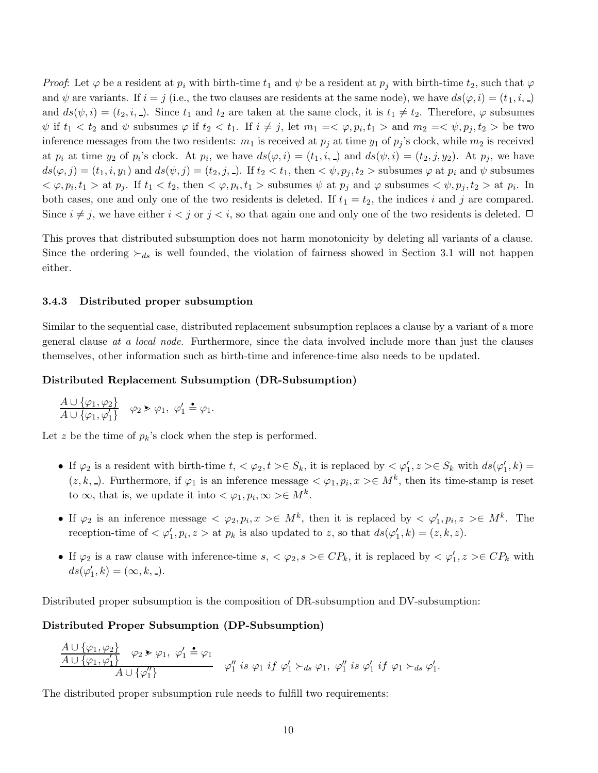*Proof*: Let  $\varphi$  be a resident at  $p_i$  with birth-time  $t_1$  and  $\psi$  be a resident at  $p_j$  with birth-time  $t_2$ , such that  $\varphi$ and  $\psi$  are variants. If  $i = j$  (i.e., the two clauses are residents at the same node), we have  $ds(\varphi, i) = (t_1, i, ...)$ and  $ds(\psi, i) = (t_2, i, ...)$ . Since  $t_1$  and  $t_2$  are taken at the same clock, it is  $t_1 \neq t_2$ . Therefore,  $\varphi$  subsumes  $\psi$  if  $t_1 < t_2$  and  $\psi$  subsumes  $\varphi$  if  $t_2 < t_1$ . If  $i \neq j$ , let  $m_1 = \langle \varphi, p_i, t_1 \rangle$  and  $m_2 = \langle \psi, p_j, t_2 \rangle$  be two inference messages from the two residents:  $m_1$  is received at  $p_j$  at time  $y_1$  of  $p_j$ 's clock, while  $m_2$  is received at  $p_i$  at time  $y_2$  of  $p_i$ 's clock. At  $p_i$ , we have  $ds(\varphi, i) = (t_1, i, \square)$  and  $ds(\psi, i) = (t_2, j, y_2)$ . At  $p_j$ , we have  $ds(\varphi, j) = (t_1, i, y_1)$  and  $ds(\psi, j) = (t_2, j, -)$ . If  $t_2 < t_1$ , then  $\langle \psi, p_j, t_2 \rangle$  subsumes  $\varphi$  at  $p_i$  and  $\psi$  subsumes  $<\varphi, p_i, t_1 > \text{at } p_j$ . If  $t_1 < t_2$ , then  $<\varphi, p_i, t_1 > \text{subsumes } \psi$  at  $p_j$  and  $\varphi$  subsumes  $<\psi, p_j, t_2 > \text{at } p_i$ . In both cases, one and only one of the two residents is deleted. If  $t_1 = t_2$ , the indices i and j are compared. Since  $i \neq j$ , we have either  $i < j$  or  $j < i$ , so that again one and only one of the two residents is deleted.  $\Box$ 

This proves that distributed subsumption does not harm monotonicity by deleting all variants of a clause. Since the ordering  $\succ_{ds}$  is well founded, the violation of fairness showed in Section 3.1 will not happen either.

## 3.4.3 Distributed proper subsumption

Similar to the sequential case, distributed replacement subsumption replaces a clause by a variant of a more general clause at a local node. Furthermore, since the data involved include more than just the clauses themselves, other information such as birth-time and inference-time also needs to be updated.

#### Distributed Replacement Subsumption (DR-Subsumption)

$$
\frac{A \cup \{\varphi_1, \varphi_2\}}{A \cup \{\varphi_1, \varphi_1'\}} \quad \varphi_2 \ge \varphi_1, \ \varphi_1' \stackrel{\bullet}{=} \varphi_1.
$$

Let z be the time of  $p_k$ 's clock when the step is performed.

- If  $\varphi_2$  is a resident with birth-time  $t, \langle \varphi_2, t \rangle \in S_k$ , it is replaced by  $\langle \varphi_1 \rangle$  $S_1, z \geq \in S_k$  with  $ds(\varphi_1')$  $'_{1},k) =$  $(z, k, \square)$ . Furthermore, if  $\varphi_1$  is an inference message  $\langle \varphi_1, p_i, x \rangle \in M^k$ , then its time-stamp is reset to  $\infty$ , that is, we update it into  $\lt \varphi_1, p_i, \infty \gt \in M^k$ .
- If  $\varphi_2$  is an inference message  $\langle \varphi_2, p_i, x \rangle \in M^k$ , then it is replaced by  $\langle \varphi'_1 \rangle$  $'_{1}, p_{i}, z \geq \in M^{k}$ . The reception-time of  $< \varphi_1'$  $y_1, p_i, z >$  at  $p_k$  is also updated to z, so that  $ds(\varphi_1')$  $'_{1},k) = (z, k, z).$
- If  $\varphi_2$  is a raw clause with inference-time  $s, \langle \varphi_2, s \rangle \in CP_k$ , it is replaced by  $\langle \varphi_1 \rangle$  $Z_1, z \geq C P_k$  with  $ds(\varphi_1'$  $'_{1},k) = (\infty, k, -).$

Distributed proper subsumption is the composition of DR-subsumption and DV-subsumption:

#### Distributed Proper Subsumption (DP-Subsumption)

$$
\frac{A \cup \{\varphi_1, \varphi_2\}}{A \cup \{\varphi_1, \varphi_1'\}} \varphi_2 \triangleright \varphi_1, \varphi_1' \triangleq \varphi_1
$$
  
 
$$
\varphi_1'' \text{ is } \varphi_1 \text{ if } \varphi_1' \succ_{ds} \varphi_1, \varphi_1'' \text{ is } \varphi_1' \text{ if } \varphi_1 \succ_{ds} \varphi_1'.
$$

The distributed proper subsumption rule needs to fulfill two requirements: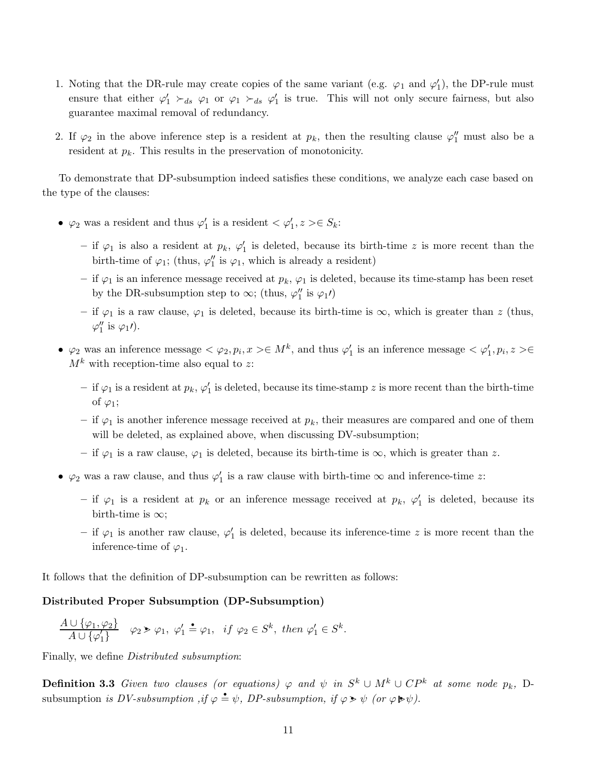- 1. Noting that the DR-rule may create copies of the same variant (e.g.  $\varphi_1$  and  $\varphi_1'$  $'_{1}$ ), the DP-rule must ensure that either  $\varphi'_1 \succ_{ds} \varphi_1$  or  $\varphi_1 \succ_{ds} \varphi'_1$ 1 is true. This will not only secure fairness, but also guarantee maximal removal of redundancy.
- 2. If  $\varphi_2$  in the above inference step is a resident at  $p_k$ , then the resulting clause  $\varphi_1''$  must also be a resident at  $p_k$ . This results in the preservation of monotonicity.

To demonstrate that DP-subsumption indeed satisfies these conditions, we analyze each case based on the type of the clauses:

- $\varphi_2$  was a resident and thus  $\varphi_1'$  $y'_1$  is a resident  $<\varphi'_1$  $z'_{1}, z > \in S_{k}$ 
	- if  $\varphi_1$  is also a resident at  $p_k$ ,  $\varphi'_1$  $\frac{1}{1}$  is deleted, because its birth-time z is more recent than the birth-time of  $\varphi_1$ ; (thus,  $\varphi_1''$  $\frac{\pi}{1}$  is  $\varphi_1$ , which is already a resident)
	- if  $\varphi_1$  is an inference message received at  $p_k$ ,  $\varphi_1$  is deleted, because its time-stamp has been reset by the DR-subsumption step to  $\infty$ ; (thus,  $\varphi_1''$  $''_1$  is  $\varphi_1$  $\prime$ )
	- if  $\varphi_1$  is a raw clause,  $\varphi_1$  is deleted, because its birth-time is  $\infty$ , which is greater than z (thus,  $\varphi_1''$  $''_1$  is  $\varphi_1$ *l*).
- $\varphi_2$  was an inference message  $\langle \varphi_2, p_i, x \rangle \in M^k$ , and thus  $\varphi_1$  $y'_1$  is an inference message  $<\varphi'_1$  $'_{1}, p_{i}, z > \in$  $M^k$  with reception-time also equal to z:
	- $-$  if  $\varphi_1$  is a resident at  $p_k, \varphi_1'$  $\frac{1}{1}$  is deleted, because its time-stamp z is more recent than the birth-time of  $\varphi_1$ ;
	- if  $\varphi_1$  is another inference message received at  $p_k$ , their measures are compared and one of them will be deleted, as explained above, when discussing DV-subsumption;
	- if  $\varphi_1$  is a raw clause,  $\varphi_1$  is deleted, because its birth-time is  $\infty$ , which is greater than z.
- $\varphi_2$  was a raw clause, and thus  $\varphi_1'$  $\frac{1}{1}$  is a raw clause with birth-time  $\infty$  and inference-time z:
	- if  $\varphi_1$  is a resident at  $p_k$  or an inference message received at  $p_k$ ,  $\varphi'_1$  $\frac{1}{1}$  is deleted, because its birth-time is  $\infty$ ;
	- if  $\varphi_1$  is another raw clause,  $\varphi_1'$  $i<sub>1</sub>$  is deleted, because its inference-time z is more recent than the inference-time of  $\varphi_1$ .

It follows that the definition of DP-subsumption can be rewritten as follows:

## Distributed Proper Subsumption (DP-Subsumption)

$$
\frac{A\cup\{\varphi_1,\varphi_2\}}{A\cup\{\varphi'_1\}} \quad \varphi_2 \ge \varphi_1, \ \varphi'_1 \triangleq \varphi_1, \ \ if \ \varphi_2 \in S^k, \ then \ \varphi'_1 \in S^k.
$$

Finally, we define Distributed subsumption:

**Definition 3.3** Given two clauses (or equations)  $\varphi$  and  $\psi$  in  $S^k \cup M^k \cup CP^k$  at some node  $p_k$ , Dsubsumption is DV-subsumption, if  $\varphi \triangleq \psi$ , DP-subsumption, if  $\varphi \triangleright \psi$  (or  $\varphi \triangleright \psi$ ).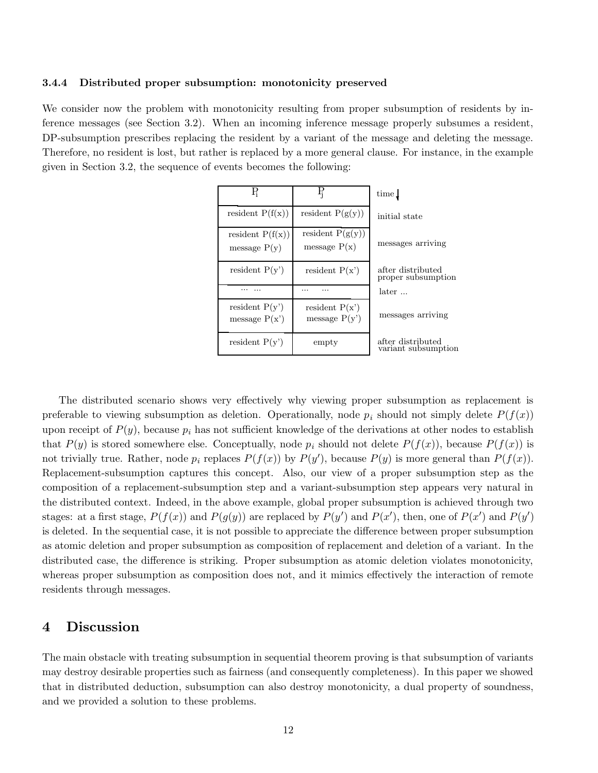#### 3.4.4 Distributed proper subsumption: monotonicity preserved

We consider now the problem with monotonicity resulting from proper subsumption of residents by inference messages (see Section 3.2). When an incoming inference message properly subsumes a resident, DP-subsumption prescribes replacing the resident by a variant of the message and deleting the message. Therefore, no resident is lost, but rather is replaced by a more general clause. For instance, in the example given in Section 3.2, the sequence of events becomes the following:

| R                                    | Ę                                    | time.                                    |
|--------------------------------------|--------------------------------------|------------------------------------------|
| resident $P(f(x))$                   | resident $P(g(y))$                   | initial state                            |
| resident $P(f(x))$<br>message $P(y)$ | resident $P(g(y))$<br>message $P(x)$ | messages arriving                        |
| resident $P(y')$                     | resident $P(x')$                     | after distributed<br>proper subsumption  |
|                                      | .                                    | later                                    |
| resident $P(y')$<br>message $P(x')$  | resident $P(x')$<br>message $P(y')$  | messages arriving                        |
| resident $P(y')$                     | empty                                | after distributed<br>variant subsumption |

The distributed scenario shows very effectively why viewing proper subsumption as replacement is preferable to viewing subsumption as deletion. Operationally, node  $p_i$  should not simply delete  $P(f(x))$ upon receipt of  $P(y)$ , because  $p_i$  has not sufficient knowledge of the derivations at other nodes to establish that  $P(y)$  is stored somewhere else. Conceptually, node  $p_i$  should not delete  $P(f(x))$ , because  $P(f(x))$  is not trivially true. Rather, node  $p_i$  replaces  $P(f(x))$  by  $P(y')$ , because  $P(y)$  is more general than  $P(f(x))$ . Replacement-subsumption captures this concept. Also, our view of a proper subsumption step as the composition of a replacement-subsumption step and a variant-subsumption step appears very natural in the distributed context. Indeed, in the above example, global proper subsumption is achieved through two stages: at a first stage,  $P(f(x))$  and  $P(g(y))$  are replaced by  $P(y')$  and  $P(x')$ , then, one of  $P(x')$  and  $P(y')$ is deleted. In the sequential case, it is not possible to appreciate the difference between proper subsumption as atomic deletion and proper subsumption as composition of replacement and deletion of a variant. In the distributed case, the difference is striking. Proper subsumption as atomic deletion violates monotonicity, whereas proper subsumption as composition does not, and it mimics effectively the interaction of remote residents through messages.

## 4 Discussion

The main obstacle with treating subsumption in sequential theorem proving is that subsumption of variants may destroy desirable properties such as fairness (and consequently completeness). In this paper we showed that in distributed deduction, subsumption can also destroy monotonicity, a dual property of soundness, and we provided a solution to these problems.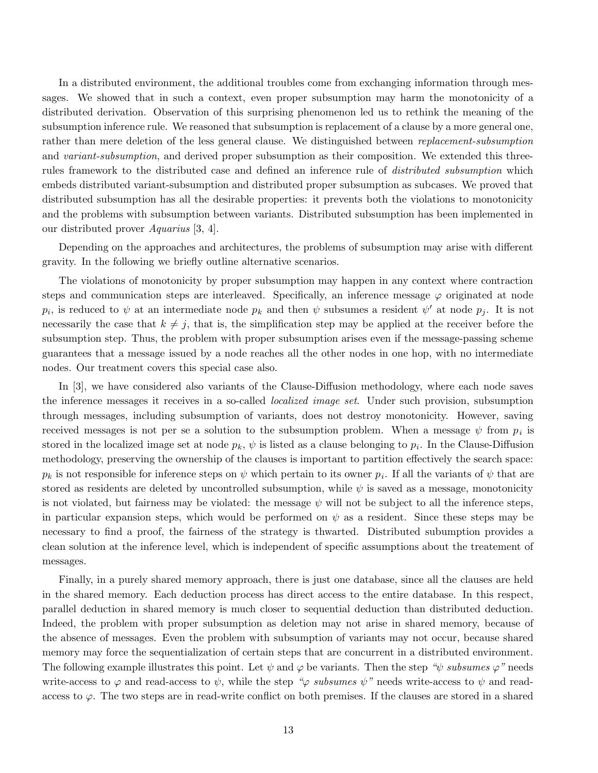In a distributed environment, the additional troubles come from exchanging information through messages. We showed that in such a context, even proper subsumption may harm the monotonicity of a distributed derivation. Observation of this surprising phenomenon led us to rethink the meaning of the subsumption inference rule. We reasoned that subsumption is replacement of a clause by a more general one, rather than mere deletion of the less general clause. We distinguished between replacement-subsumption and variant-subsumption, and derived proper subsumption as their composition. We extended this threerules framework to the distributed case and defined an inference rule of distributed subsumption which embeds distributed variant-subsumption and distributed proper subsumption as subcases. We proved that distributed subsumption has all the desirable properties: it prevents both the violations to monotonicity and the problems with subsumption between variants. Distributed subsumption has been implemented in our distributed prover Aquarius [3, 4].

Depending on the approaches and architectures, the problems of subsumption may arise with different gravity. In the following we briefly outline alternative scenarios.

The violations of monotonicity by proper subsumption may happen in any context where contraction steps and communication steps are interleaved. Specifically, an inference message  $\varphi$  originated at node  $p_i$ , is reduced to  $\psi$  at an intermediate node  $p_k$  and then  $\psi$  subsumes a resident  $\psi'$  at node  $p_j$ . It is not necessarily the case that  $k \neq j$ , that is, the simplification step may be applied at the receiver before the subsumption step. Thus, the problem with proper subsumption arises even if the message-passing scheme guarantees that a message issued by a node reaches all the other nodes in one hop, with no intermediate nodes. Our treatment covers this special case also.

In [3], we have considered also variants of the Clause-Diffusion methodology, where each node saves the inference messages it receives in a so-called localized image set. Under such provision, subsumption through messages, including subsumption of variants, does not destroy monotonicity. However, saving received messages is not per se a solution to the subsumption problem. When a message  $\psi$  from  $p_i$  is stored in the localized image set at node  $p_k$ ,  $\psi$  is listed as a clause belonging to  $p_i$ . In the Clause-Diffusion methodology, preserving the ownership of the clauses is important to partition effectively the search space:  $p_k$  is not responsible for inference steps on  $\psi$  which pertain to its owner  $p_i$ . If all the variants of  $\psi$  that are stored as residents are deleted by uncontrolled subsumption, while  $\psi$  is saved as a message, monotonicity is not violated, but fairness may be violated: the message  $\psi$  will not be subject to all the inference steps, in particular expansion steps, which would be performed on  $\psi$  as a resident. Since these steps may be necessary to find a proof, the fairness of the strategy is thwarted. Distributed subumption provides a clean solution at the inference level, which is independent of specific assumptions about the treatement of messages.

Finally, in a purely shared memory approach, there is just one database, since all the clauses are held in the shared memory. Each deduction process has direct access to the entire database. In this respect, parallel deduction in shared memory is much closer to sequential deduction than distributed deduction. Indeed, the problem with proper subsumption as deletion may not arise in shared memory, because of the absence of messages. Even the problem with subsumption of variants may not occur, because shared memory may force the sequentialization of certain steps that are concurrent in a distributed environment. The following example illustrates this point. Let  $\psi$  and  $\varphi$  be variants. Then the step " $\psi$  subsumes  $\varphi$ " needs write-access to  $\varphi$  and read-access to  $\psi$ , while the step " $\varphi$  subsumes  $\psi$ " needs write-access to  $\psi$  and readaccess to  $\varphi$ . The two steps are in read-write conflict on both premises. If the clauses are stored in a shared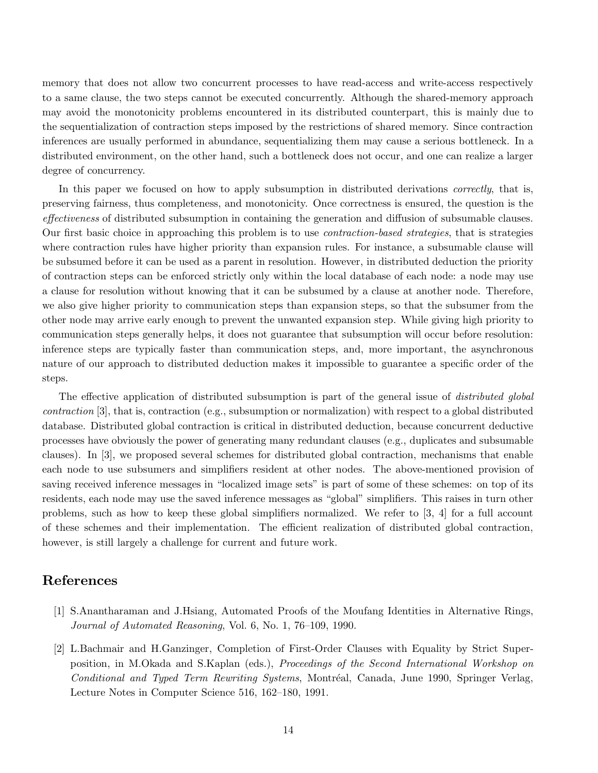memory that does not allow two concurrent processes to have read-access and write-access respectively to a same clause, the two steps cannot be executed concurrently. Although the shared-memory approach may avoid the monotonicity problems encountered in its distributed counterpart, this is mainly due to the sequentialization of contraction steps imposed by the restrictions of shared memory. Since contraction inferences are usually performed in abundance, sequentializing them may cause a serious bottleneck. In a distributed environment, on the other hand, such a bottleneck does not occur, and one can realize a larger degree of concurrency.

In this paper we focused on how to apply subsumption in distributed derivations *correctly*, that is, preserving fairness, thus completeness, and monotonicity. Once correctness is ensured, the question is the effectiveness of distributed subsumption in containing the generation and diffusion of subsumable clauses. Our first basic choice in approaching this problem is to use contraction-based strategies, that is strategies where contraction rules have higher priority than expansion rules. For instance, a subsumable clause will be subsumed before it can be used as a parent in resolution. However, in distributed deduction the priority of contraction steps can be enforced strictly only within the local database of each node: a node may use a clause for resolution without knowing that it can be subsumed by a clause at another node. Therefore, we also give higher priority to communication steps than expansion steps, so that the subsumer from the other node may arrive early enough to prevent the unwanted expansion step. While giving high priority to communication steps generally helps, it does not guarantee that subsumption will occur before resolution: inference steps are typically faster than communication steps, and, more important, the asynchronous nature of our approach to distributed deduction makes it impossible to guarantee a specific order of the steps.

The effective application of distributed subsumption is part of the general issue of *distributed global* contraction [3], that is, contraction (e.g., subsumption or normalization) with respect to a global distributed database. Distributed global contraction is critical in distributed deduction, because concurrent deductive processes have obviously the power of generating many redundant clauses (e.g., duplicates and subsumable clauses). In [3], we proposed several schemes for distributed global contraction, mechanisms that enable each node to use subsumers and simplifiers resident at other nodes. The above-mentioned provision of saving received inference messages in "localized image sets" is part of some of these schemes: on top of its residents, each node may use the saved inference messages as "global" simplifiers. This raises in turn other problems, such as how to keep these global simplifiers normalized. We refer to [3, 4] for a full account of these schemes and their implementation. The efficient realization of distributed global contraction, however, is still largely a challenge for current and future work.

## References

- [1] S.Anantharaman and J.Hsiang, Automated Proofs of the Moufang Identities in Alternative Rings, Journal of Automated Reasoning, Vol. 6, No. 1, 76–109, 1990.
- [2] L.Bachmair and H.Ganzinger, Completion of First-Order Clauses with Equality by Strict Superposition, in M.Okada and S.Kaplan (eds.), Proceedings of the Second International Workshop on Conditional and Typed Term Rewriting Systems, Montréal, Canada, June 1990, Springer Verlag, Lecture Notes in Computer Science 516, 162–180, 1991.